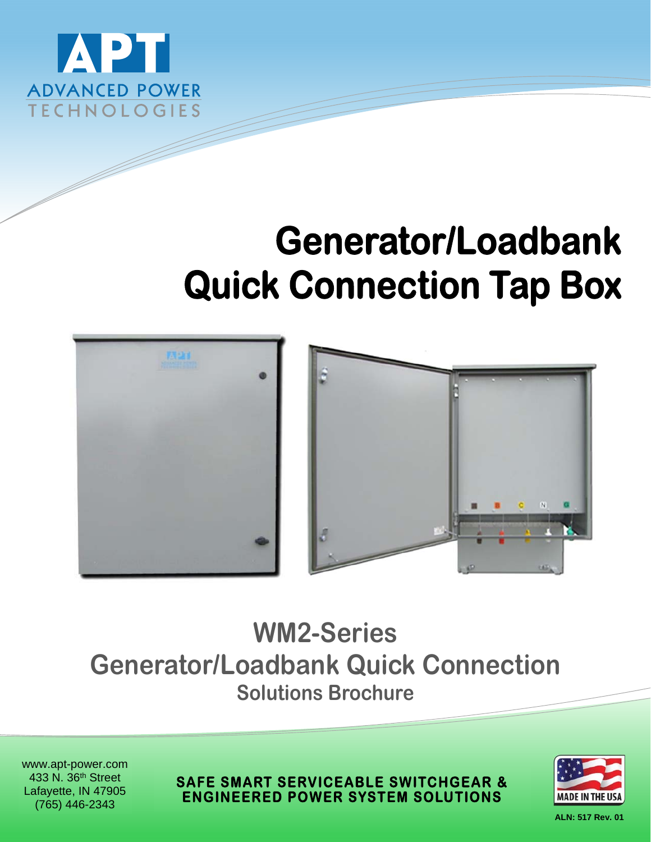

# **Generator/Loadbank Quick Connection Tap Box**



# **WM2-Series Generator/Loadbank Quick Connection Solutions Brochure**

www.apt-power.com 433 N. 36th Street Lafayette, IN 47905 (765) 446-2343

**SAFE SMART SERVICEABLE SWITCHGEAR & ENGINEERED POWER SYSTEM SOLUTIONS** 



**ALN: 517 Rev. 01**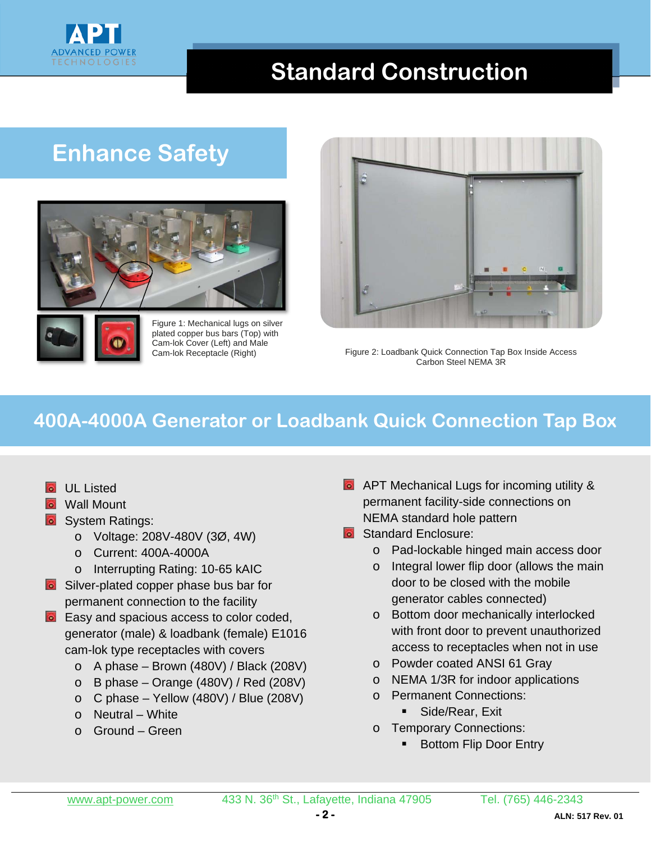

#### **Standard Construction**

### **Enhance Safety**





Figure 1: Mechanical lugs on silver plated copper bus bars (Top) with Cam-lok Cover (Left) and Male Cam-lok Receptacle (Right)



Figure 2: Loadbank Quick Connection Tap Box Inside Access Carbon Steel NEMA 3R

#### **400A-4000A Generator or Loadbank Quick Connection Tap Box**

- **o** UL Listed
- **o** Wall Mount
- **o** System Ratings:
	- o Voltage: 208V-480V (3Ø, 4W)
	- o Current: 400A-4000A
	- o Interrupting Rating: 10-65 kAIC
- **C** Silver-plated copper phase bus bar for permanent connection to the facility
- **Easy and spacious access to color coded,** generator (male) & loadbank (female) E1016 cam-lok type receptacles with covers
	- o A phase Brown (480V) / Black (208V)
	- o B phase Orange (480V) / Red (208V)
	- $\circ$  C phase Yellow (480V) / Blue (208V)
	- o Neutral White
	- o Ground Green
- **APT Mechanical Lugs for incoming utility &** permanent facility-side connections on NEMA standard hole pattern
- **Standard Enclosure:** 
	- o Pad-lockable hinged main access door
	- o Integral lower flip door (allows the main door to be closed with the mobile generator cables connected)
	- o Bottom door mechanically interlocked with front door to prevent unauthorized access to receptacles when not in use
	- o Powder coated ANSI 61 Gray
	- o NEMA 1/3R for indoor applications
	- o Permanent Connections:
		- Side/Rear, Exit
	- o Temporary Connections:
		- Bottom Flip Door Entry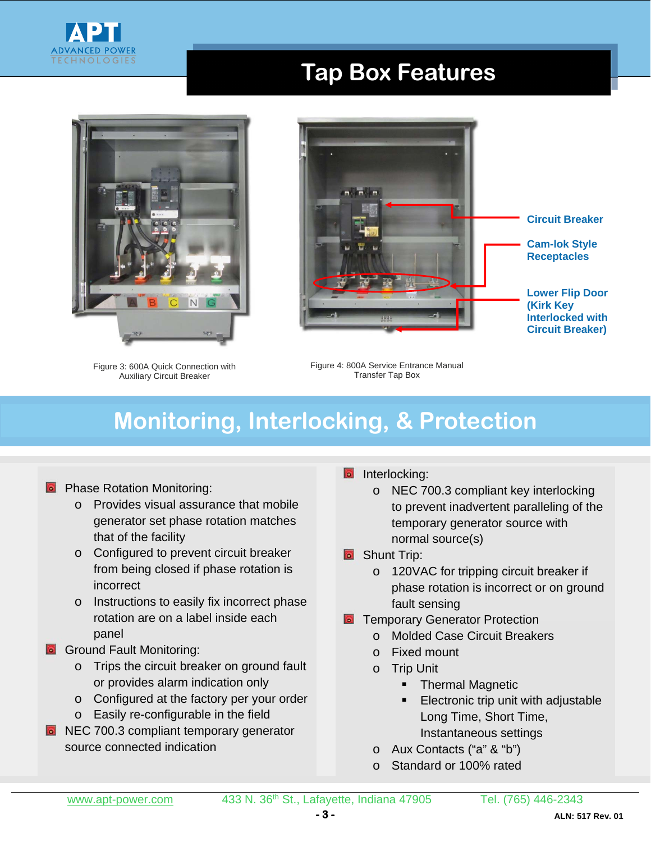

#### **Tap Box Features**



Figure 3: 600A Quick Connection with Auxiliary Circuit Breaker



Figure 4: 800A Service Entrance Manual Transfer Tap Box

# **Monitoring, Interlocking, & Protection**

#### **Phase Rotation Monitoring:**

- o Provides visual assurance that mobile generator set phase rotation matches that of the facility
- o Configured to prevent circuit breaker from being closed if phase rotation is incorrect
- o Instructions to easily fix incorrect phase rotation are on a label inside each panel
- Ground Fault Monitoring:
	- o Trips the circuit breaker on ground fault or provides alarm indication only
	- o Configured at the factory per your order
	- o Easily re-configurable in the field
- **NEC 700.3 compliant temporary generator** source connected indication
- Interlocking:
	- o NEC 700.3 compliant key interlocking to prevent inadvertent paralleling of the temporary generator source with normal source(s)
- **B** Shunt Trip:
	- o 120VAC for tripping circuit breaker if phase rotation is incorrect or on ground fault sensing
- Temporary Generator Protection
	- o Molded Case Circuit Breakers
	- o Fixed mount
	- o Trip Unit
		- **F** Thermal Magnetic
		- Electronic trip unit with adjustable Long Time, Short Time, Instantaneous settings
	- o Aux Contacts ("a" & "b")
	- o Standard or 100% rated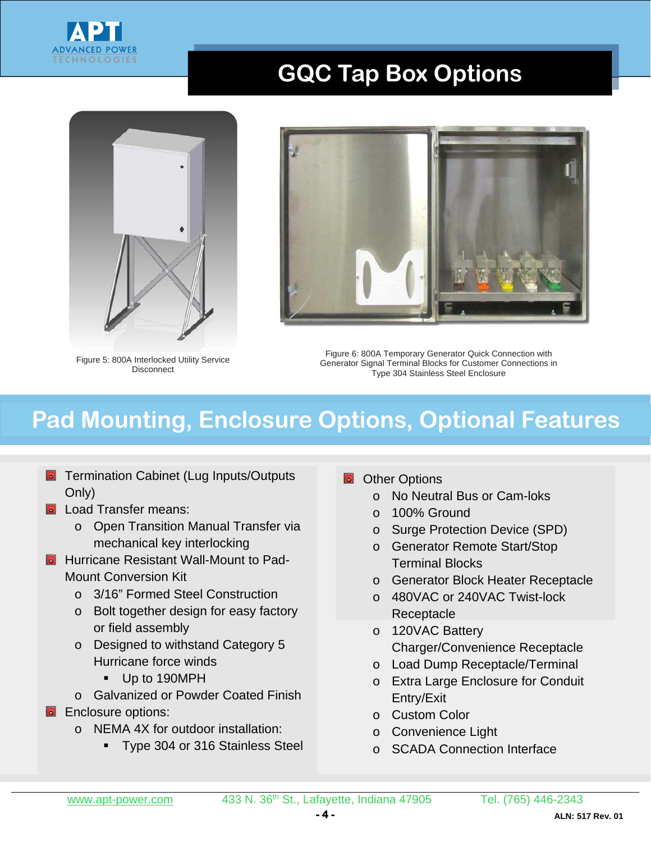

### **GQC Tap Box Options**



Figure 5: 800A Interlocked Utility Service **Disconnect** 



Figure 6: 800A Temporary Generator Quick Connection with Generator Signal Terminal Blocks for Customer Connections in Type 304 Stainless Steel Enclosure

# **Pad Mounting, Enclosure Options, Optional Features**

- **Termination Cabinet (Lug Inputs/Outputs** Only)
- **Q** Load Transfer means:
	- o Open Transition Manual Transfer via mechanical key interlocking
- **D** Hurricane Resistant Wall-Mount to Pad-Mount Conversion Kit
	- o 3/16" Formed Steel Construction
	- o Bolt together design for easy factory or field assembly
	- o Designed to withstand Category 5 Hurricane force winds
		- Up to 190MPH
	- o Galvanized or Powder Coated Finish
- **Enclosure options:** 
	- o NEMA 4X for outdoor installation:
		- **Type 304 or 316 Stainless Steel**
- Other Options
	- o No Neutral Bus or Cam-loks
	- o 100% Ground
	- o Surge Protection Device (SPD)
	- o Generator Remote Start/Stop Terminal Blocks
	- o Generator Block Heater Receptacle
	- o 480VAC or 240VAC Twist-lock **Receptacle**
	- o 120VAC Battery Charger/Convenience Receptacle
	- o Load Dump Receptacle/Terminal
	- o Extra Large Enclosure for Conduit Entry/Exit
	- o Custom Color
	- o Convenience Light
	- o SCADA Connection Interface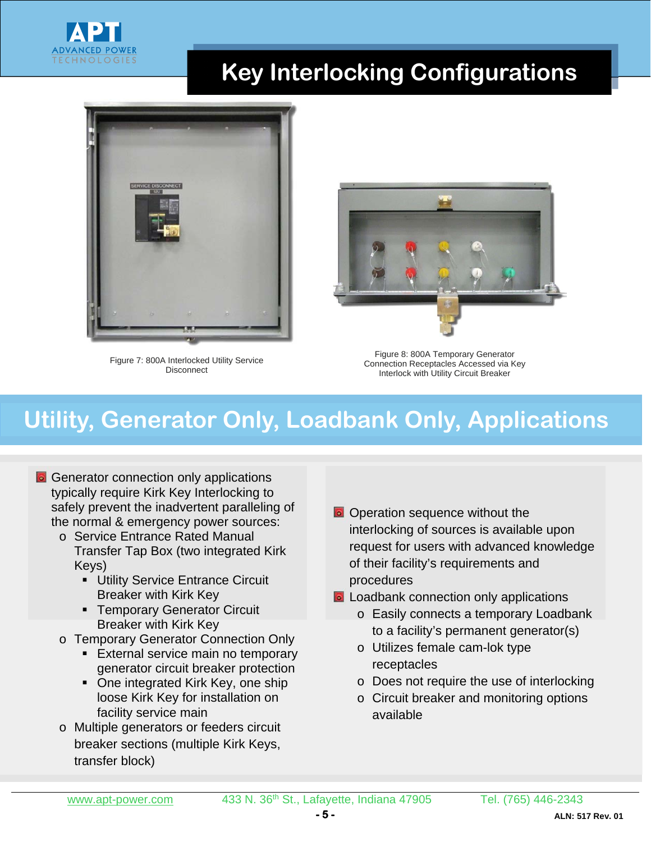

# **Key Interlocking Configurations**



Figure 7: 800A Interlocked Utility Service **Disconnect** 



Figure 8: 800A Temporary Generator Connection Receptacles Accessed via Key Interlock with Utility Circuit Breaker

# **Utility, Generator Only, Loadbank Only, Applications**

- **G** Generator connection only applications typically require Kirk Key Interlocking to safely prevent the inadvertent paralleling of the normal & emergency power sources:
	- o Service Entrance Rated Manual Transfer Tap Box (two integrated Kirk Keys)
		- **Utility Service Entrance Circuit** Breaker with Kirk Key
		- **F** Temporary Generator Circuit Breaker with Kirk Key
	- o Temporary Generator Connection Only
		- **External service main no temporary** generator circuit breaker protection
		- One integrated Kirk Key, one ship loose Kirk Key for installation on facility service main
	- o Multiple generators or feeders circuit breaker sections (multiple Kirk Keys, transfer block)
- **O** Operation sequence without the interlocking of sources is available upon request for users with advanced knowledge of their facility's requirements and procedures
- **a** Loadbank connection only applications
	- o Easily connects a temporary Loadbank to a facility's permanent generator(s)
	- o Utilizes female cam-lok type receptacles
	- o Does not require the use of interlocking
	- o Circuit breaker and monitoring options available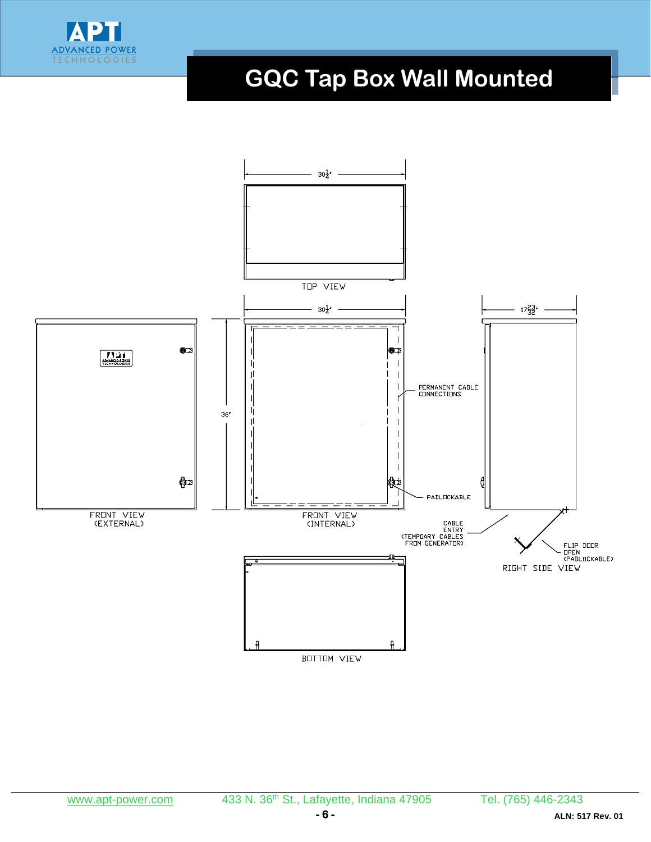

# **GQC Tap Box Wall Mounted**

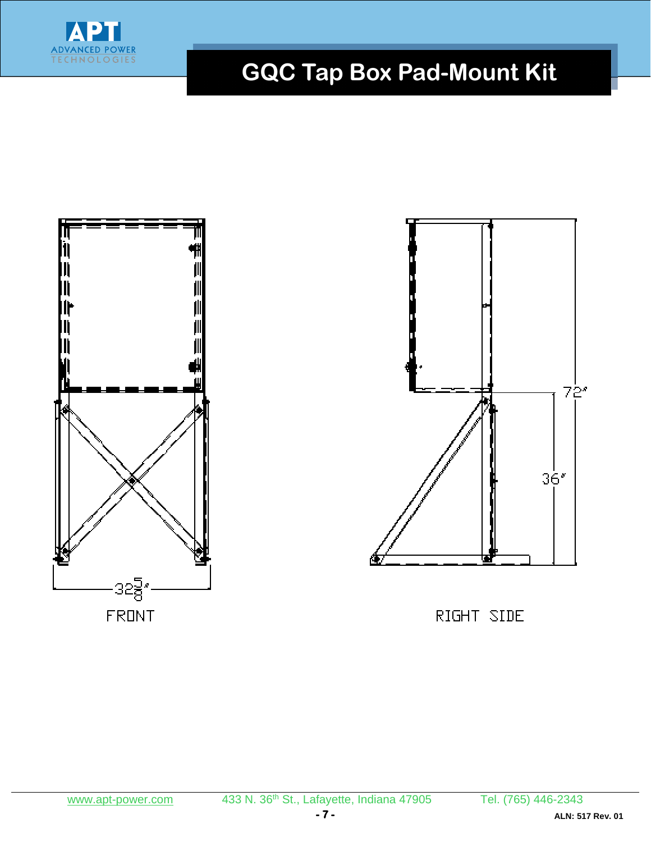

# **GQC Tap Box Pad-Mount Kit**

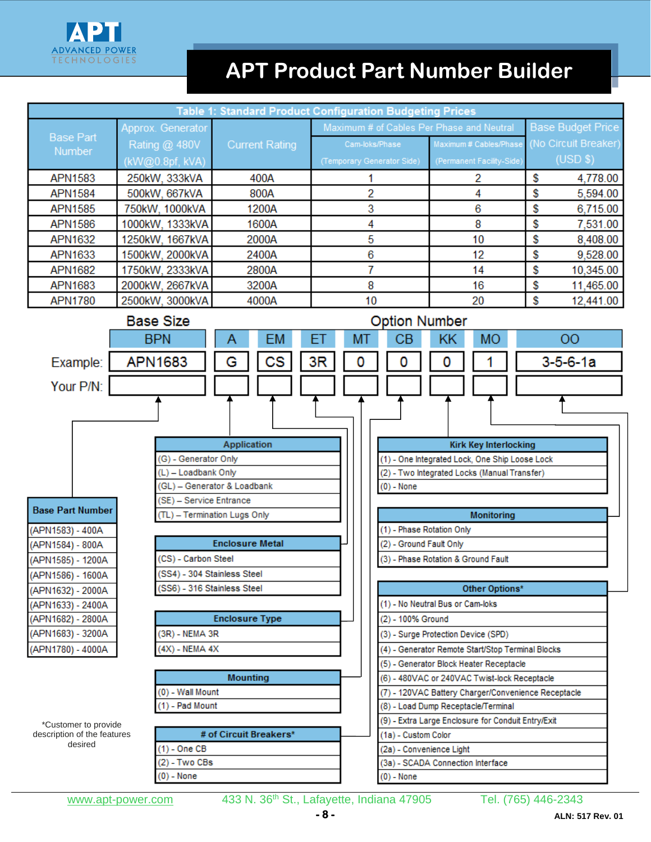

### **APT Product Part Number Builder**

| <b>Table 1: Standard Product Configuration Budgeting Prices</b>                 |                         |                              |           |                      |                                              |                                                                                |                                                    |                                                     |  |                  |                          |  |  |
|---------------------------------------------------------------------------------|-------------------------|------------------------------|-----------|----------------------|----------------------------------------------|--------------------------------------------------------------------------------|----------------------------------------------------|-----------------------------------------------------|--|------------------|--------------------------|--|--|
|                                                                                 | Approx. Generator       |                              |           |                      | Maximum # of Cables Per Phase and Neutral    |                                                                                |                                                    |                                                     |  |                  | <b>Base Budget Price</b> |  |  |
| <b>Base Part</b>                                                                | Rating @ 480V           | <b>Current Rating</b>        |           |                      | Cam-loks/Phase<br>(Temporary Generator Side) |                                                                                |                                                    | Maximum # Cables/Phase<br>(Permanent Facility-Side) |  |                  | (No Circuit Breaker)     |  |  |
| Number                                                                          | (kW@0.8pf, kVA)         |                              |           |                      |                                              |                                                                                |                                                    |                                                     |  |                  | (USD \$)                 |  |  |
| <b>APN1583</b>                                                                  | 250kW, 333kVA           |                              | 400A      |                      | 1                                            |                                                                                | 2                                                  |                                                     |  | \$<br>4,778.00   |                          |  |  |
| <b>APN1584</b>                                                                  | 500kW, 667kVA           | 800A                         |           |                      | 2                                            |                                                                                |                                                    | 4                                                   |  | \$               | 5,594.00                 |  |  |
| <b>APN1585</b>                                                                  | 750kW, 1000kVA          | 1200A                        |           |                      | 3                                            |                                                                                |                                                    | 6                                                   |  | \$               | 6,715.00                 |  |  |
| <b>APN1586</b>                                                                  | 1000kW, 1333kVA         | 1600A                        |           |                      | 4                                            |                                                                                |                                                    | 8                                                   |  | \$               | 7,531.00                 |  |  |
| <b>APN1632</b>                                                                  | 1250kW, 1667kVA         | 2000A                        |           |                      | 5                                            |                                                                                | 10                                                 |                                                     |  | \$               | 8,408.00                 |  |  |
| APN1633                                                                         | 1500kW, 2000kVA         | 2400A                        |           |                      | 6                                            |                                                                                | 12                                                 |                                                     |  | \$               | 9,528.00                 |  |  |
| <b>APN1682</b>                                                                  | 1750kW, 2333kVA         | 2800A                        |           |                      | 7                                            |                                                                                |                                                    | 14                                                  |  |                  | 10,345.00                |  |  |
| APN1683                                                                         | 2000kW, 2667kVA         | 3200A                        |           |                      | 8                                            |                                                                                |                                                    | 16                                                  |  |                  | \$<br>11,465.00          |  |  |
| <b>APN1780</b>                                                                  | 2500kW, 3000kVA         |                              | 4000A     |                      | 10                                           |                                                                                |                                                    | 20                                                  |  |                  | \$<br>12,441.00          |  |  |
|                                                                                 | <b>Base Size</b>        |                              |           | <b>Option Number</b> |                                              |                                                                                |                                                    |                                                     |  |                  |                          |  |  |
|                                                                                 | <b>BPN</b>              | Α                            | <b>EM</b> | ЕT                   | MT                                           | CВ                                                                             | KΚ                                                 | <b>MO</b>                                           |  |                  | 00                       |  |  |
| Example:                                                                        | <b>APN1683</b>          | G                            | CS        | 3R                   | 0                                            | 0                                                                              | 0                                                  |                                                     |  | $3 - 5 - 6 - 1a$ |                          |  |  |
| Your P/N:                                                                       |                         |                              |           |                      |                                              |                                                                                |                                                    |                                                     |  |                  |                          |  |  |
|                                                                                 |                         |                              |           |                      |                                              |                                                                                |                                                    |                                                     |  |                  |                          |  |  |
|                                                                                 |                         |                              |           |                      |                                              |                                                                                |                                                    |                                                     |  |                  |                          |  |  |
|                                                                                 |                         |                              |           |                      |                                              |                                                                                |                                                    |                                                     |  |                  |                          |  |  |
| <b>Application</b><br>(G) - Generator Only                                      |                         |                              |           |                      |                                              | <b>Kirk Key Interlocking</b><br>(1) - One Integrated Lock, One Ship Loose Lock |                                                    |                                                     |  |                  |                          |  |  |
| (L) - Loadbank Only                                                             |                         |                              |           |                      |                                              | (2) - Two Integrated Locks (Manual Transfer)                                   |                                                    |                                                     |  |                  |                          |  |  |
| (GL) - Generator & Loadbank                                                     |                         |                              |           |                      |                                              | $(0)$ - None                                                                   |                                                    |                                                     |  |                  |                          |  |  |
|                                                                                 | (SE) - Service Entrance |                              |           |                      |                                              |                                                                                |                                                    |                                                     |  |                  |                          |  |  |
| <b>Base Part Number</b>                                                         |                         | (TL) - Termination Lugs Only |           |                      |                                              | <b>Monitoring</b>                                                              |                                                    |                                                     |  |                  |                          |  |  |
| (APN1583) - 400A                                                                |                         |                              |           |                      |                                              | (1) - Phase Rotation Only                                                      |                                                    |                                                     |  |                  |                          |  |  |
| (APN1584) - 800A                                                                | <b>Enclosure Metal</b>  |                              |           |                      | (2) - Ground Fault Only                      |                                                                                |                                                    |                                                     |  |                  |                          |  |  |
| (APN1585) - 1200A                                                               | (CS) - Carbon Steel     |                              |           |                      | (3) - Phase Rotation & Ground Fault          |                                                                                |                                                    |                                                     |  |                  |                          |  |  |
| (SS4) - 304 Stainless Steel<br>(APN1586) - 1600A<br>(SS6) - 316 Stainless Steel |                         |                              |           |                      | Other Options*                               |                                                                                |                                                    |                                                     |  |                  |                          |  |  |
| (APN1632) - 2000A                                                               |                         |                              |           |                      | (1) - No Neutral Bus or Cam-loks             |                                                                                |                                                    |                                                     |  |                  |                          |  |  |
| (APN1633) - 2400A<br>(APN1682) - 2800A<br><b>Enclosure Type</b>                 |                         |                              |           |                      |                                              | (2) - 100% Ground                                                              |                                                    |                                                     |  |                  |                          |  |  |
| (APN1683) - 3200A                                                               |                         | (3R) - NEMA 3R               |           |                      |                                              | (3) - Surge Protection Device (SPD)                                            |                                                    |                                                     |  |                  |                          |  |  |
| (APN1780) - 4000A                                                               |                         | $(4X)$ - NEMA $4X$           |           |                      |                                              | (4) - Generator Remote Start/Stop Terminal Blocks                              |                                                    |                                                     |  |                  |                          |  |  |
|                                                                                 |                         |                              |           |                      |                                              | (5) - Generator Block Heater Receptacle                                        |                                                    |                                                     |  |                  |                          |  |  |
| <b>Mounting</b>                                                                 |                         |                              |           |                      |                                              | (6) - 480VAC or 240VAC Twist-lock Receptacle                                   |                                                    |                                                     |  |                  |                          |  |  |
|                                                                                 |                         | (0) - Wall Mount             |           |                      |                                              | (7) - 120VAC Battery Charger/Convenience Receptacle                            |                                                    |                                                     |  |                  |                          |  |  |
|                                                                                 |                         | (1) - Pad Mount              |           |                      |                                              | (8) - Load Dump Receptacle/Terminal                                            |                                                    |                                                     |  |                  |                          |  |  |
| *Customer to provide                                                            |                         |                              |           |                      |                                              |                                                                                | (9) - Extra Large Enclosure for Conduit Entry/Exit |                                                     |  |                  |                          |  |  |
| description of the features<br>desired                                          |                         | # of Circuit Breakers*       |           |                      |                                              | (1a) - Custom Color                                                            |                                                    |                                                     |  |                  |                          |  |  |
|                                                                                 | $(1)$ - One CB          | (2) - Two CBs                |           |                      |                                              | (2a) - Convenience Light<br>(3a) - SCADA Connection Interface                  |                                                    |                                                     |  |                  |                          |  |  |
|                                                                                 | (0) - None              |                              |           |                      |                                              | (0) - None                                                                     |                                                    |                                                     |  |                  |                          |  |  |
|                                                                                 |                         |                              |           |                      |                                              |                                                                                |                                                    |                                                     |  |                  |                          |  |  |

www.apt-power.com 433 N. 36<sup>th</sup> St., Lafayette, Indiana 47905 Tel. (765) 446-2343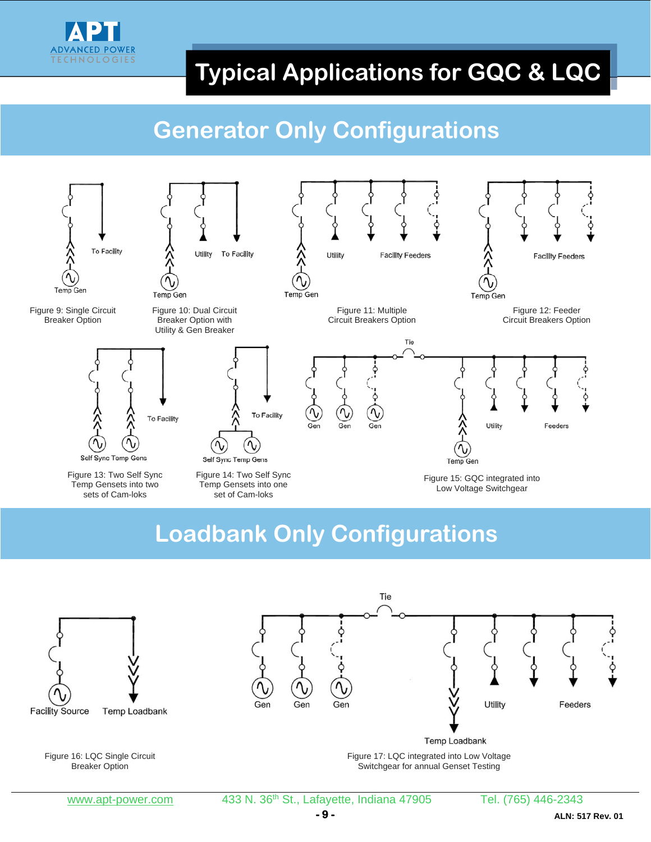

# **Typical Applications for GQC & LQC**

## **Generator Only Configurations**



#### **Loadbank Only Configurations**

Tie



Figure 16: LQC Single Circuit Breaker Option

www.apt-power.com 433 N. 36<sup>th</sup> St., Lafayette, Indiana 47905 Tel. (765) 446-2343

Figure 17: LQC integrated into Low Voltage Switchgear for annual Genset Testing

Temp Loadbank

Utility

Feeders